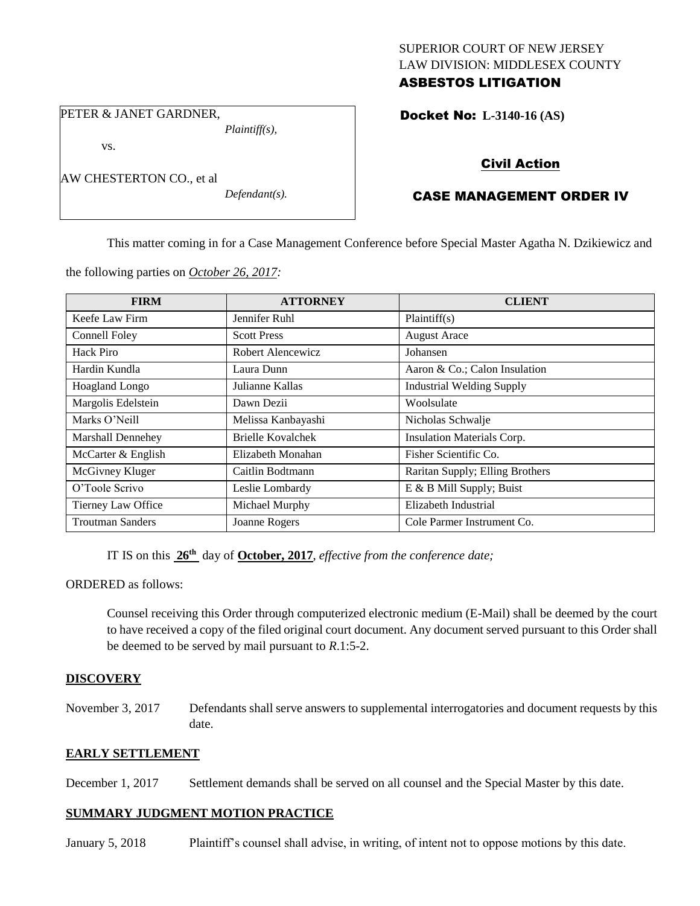# SUPERIOR COURT OF NEW JERSEY LAW DIVISION: MIDDLESEX COUNTY ASBESTOS LITIGATION

PETER & JANET GARDNER,

AW CHESTERTON CO., et al

vs.

*Plaintiff(s),*

*Defendant(s).*

Docket No: **L-3140-16 (AS)** 

# Civil Action

# CASE MANAGEMENT ORDER IV

This matter coming in for a Case Management Conference before Special Master Agatha N. Dzikiewicz and

the following parties on *October 26, 2017:*

| <b>FIRM</b>             | <b>ATTORNEY</b>    | <b>CLIENT</b>                    |
|-------------------------|--------------------|----------------------------------|
| Keefe Law Firm          | Jennifer Ruhl      | Plaintiff(s)                     |
| Connell Foley           | <b>Scott Press</b> | <b>August Arace</b>              |
| Hack Piro               | Robert Alencewicz  | Johansen                         |
| Hardin Kundla           | Laura Dunn         | Aaron & Co.; Calon Insulation    |
| <b>Hoagland Longo</b>   | Julianne Kallas    | <b>Industrial Welding Supply</b> |
| Margolis Edelstein      | Dawn Dezii         | Woolsulate                       |
| Marks O'Neill           | Melissa Kanbayashi | Nicholas Schwalje                |
| Marshall Dennehey       | Brielle Kovalchek  | Insulation Materials Corp.       |
| McCarter & English      | Elizabeth Monahan  | Fisher Scientific Co.            |
| McGivney Kluger         | Caitlin Bodtmann   | Raritan Supply; Elling Brothers  |
| O'Toole Scrivo          | Leslie Lombardy    | E & B Mill Supply; Buist         |
| Tierney Law Office      | Michael Murphy     | Elizabeth Industrial             |
| <b>Troutman Sanders</b> | Joanne Rogers      | Cole Parmer Instrument Co.       |

IT IS on this **26th** day of **October, 2017**, *effective from the conference date;*

ORDERED as follows:

Counsel receiving this Order through computerized electronic medium (E-Mail) shall be deemed by the court to have received a copy of the filed original court document. Any document served pursuant to this Order shall be deemed to be served by mail pursuant to *R*.1:5-2.

# **DISCOVERY**

November 3, 2017 Defendants shall serve answers to supplemental interrogatories and document requests by this date.

# **EARLY SETTLEMENT**

December 1, 2017 Settlement demands shall be served on all counsel and the Special Master by this date.

# **SUMMARY JUDGMENT MOTION PRACTICE**

January 5, 2018 Plaintiff's counsel shall advise, in writing, of intent not to oppose motions by this date.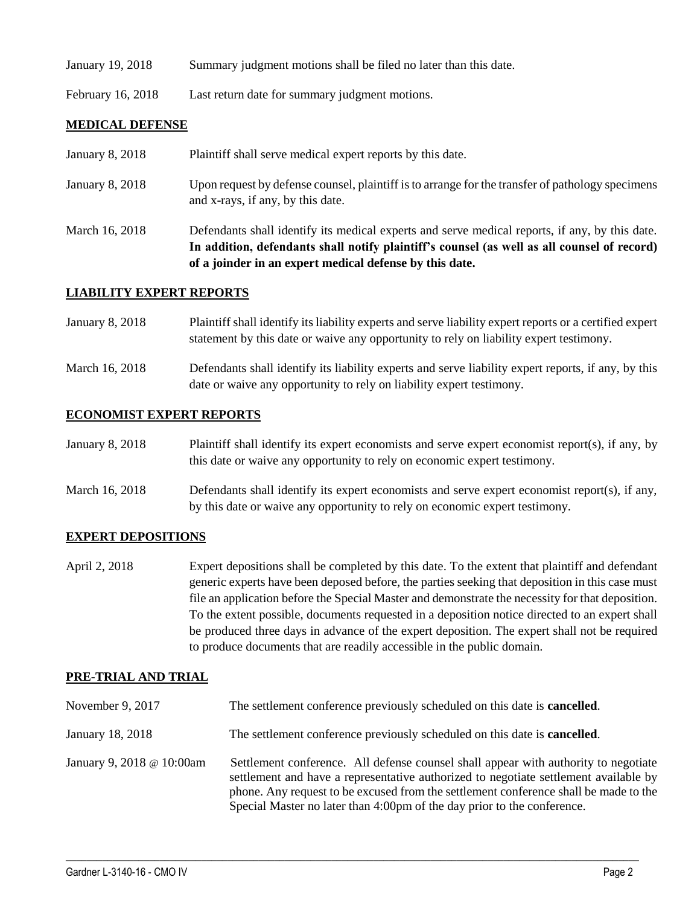| January 19, 2018 | Summary judgment motions shall be filed no later than this date. |  |  |  |
|------------------|------------------------------------------------------------------|--|--|--|
|------------------|------------------------------------------------------------------|--|--|--|

February 16, 2018 Last return date for summary judgment motions.

## **MEDICAL DEFENSE**

| January 8, 2018 | Plaintiff shall serve medical expert reports by this date.                                                                                                                                                                                               |
|-----------------|----------------------------------------------------------------------------------------------------------------------------------------------------------------------------------------------------------------------------------------------------------|
| January 8, 2018 | Upon request by defense counsel, plaintiff is to arrange for the transfer of pathology specimens<br>and x-rays, if any, by this date.                                                                                                                    |
| March 16, 2018  | Defendants shall identify its medical experts and serve medical reports, if any, by this date.<br>In addition, defendants shall notify plaintiff's counsel (as well as all counsel of record)<br>of a joinder in an expert medical defense by this date. |

### **LIABILITY EXPERT REPORTS**

| <b>January 8, 2018</b> | Plaintiff shall identify its liability experts and serve liability expert reports or a certified expert |
|------------------------|---------------------------------------------------------------------------------------------------------|
|                        | statement by this date or waive any opportunity to rely on liability expert testimony.                  |

March 16, 2018 Defendants shall identify its liability experts and serve liability expert reports, if any, by this date or waive any opportunity to rely on liability expert testimony.

# **ECONOMIST EXPERT REPORTS**

| January 8, 2018 | Plaintiff shall identify its expert economists and serve expert economist report(s), if any, by<br>this date or waive any opportunity to rely on economic expert testimony.  |
|-----------------|------------------------------------------------------------------------------------------------------------------------------------------------------------------------------|
| March 16, 2018  | Defendants shall identify its expert economists and serve expert economist report(s), if any,<br>by this date or waive any opportunity to rely on economic expert testimony. |

#### **EXPERT DEPOSITIONS**

April 2, 2018 Expert depositions shall be completed by this date. To the extent that plaintiff and defendant generic experts have been deposed before, the parties seeking that deposition in this case must file an application before the Special Master and demonstrate the necessity for that deposition. To the extent possible, documents requested in a deposition notice directed to an expert shall be produced three days in advance of the expert deposition. The expert shall not be required to produce documents that are readily accessible in the public domain.

#### **PRE-TRIAL AND TRIAL**

| November 9, 2017          | The settlement conference previously scheduled on this date is <b>cancelled</b> .                                                                                                                                                                                                                                                              |
|---------------------------|------------------------------------------------------------------------------------------------------------------------------------------------------------------------------------------------------------------------------------------------------------------------------------------------------------------------------------------------|
| January 18, 2018          | The settlement conference previously scheduled on this date is <b>cancelled</b> .                                                                                                                                                                                                                                                              |
| January 9, 2018 @ 10:00am | Settlement conference. All defense counsel shall appear with authority to negotiate<br>settlement and have a representative authorized to negotiate settlement available by<br>phone. Any request to be excused from the settlement conference shall be made to the<br>Special Master no later than 4:00pm of the day prior to the conference. |

 $\_$  ,  $\_$  ,  $\_$  ,  $\_$  ,  $\_$  ,  $\_$  ,  $\_$  ,  $\_$  ,  $\_$  ,  $\_$  ,  $\_$  ,  $\_$  ,  $\_$  ,  $\_$  ,  $\_$  ,  $\_$  ,  $\_$  ,  $\_$  ,  $\_$  ,  $\_$  ,  $\_$  ,  $\_$  ,  $\_$  ,  $\_$  ,  $\_$  ,  $\_$  ,  $\_$  ,  $\_$  ,  $\_$  ,  $\_$  ,  $\_$  ,  $\_$  ,  $\_$  ,  $\_$  ,  $\_$  ,  $\_$  ,  $\_$  ,